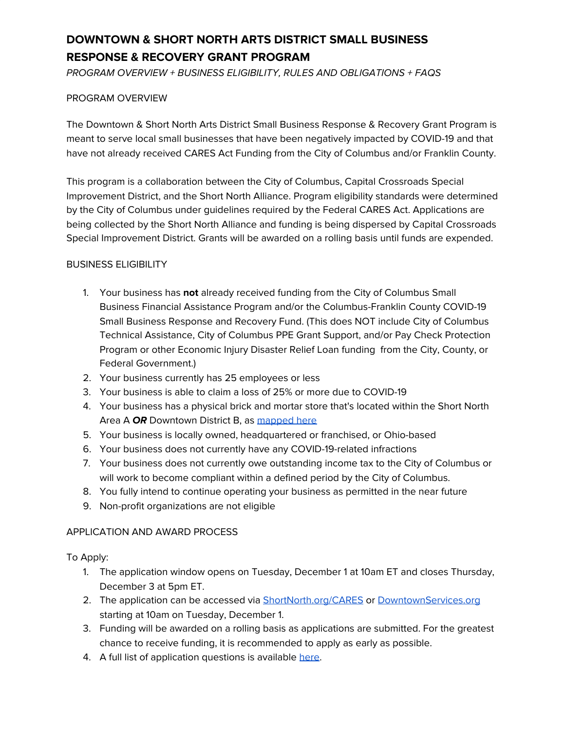# **DOWNTOWN & SHORT NORTH ARTS DISTRICT SMALL BUSINESS RESPONSE & RECOVERY GRANT PROGRAM**

PROGRAM OVERVIEW + BUSINESS ELIGIBILITY, RULES AND OBLIGATIONS + FAQS

#### PROGRAM OVERVIEW

The Downtown & Short North Arts District Small Business Response & Recovery Grant Program is meant to serve local small businesses that have been negatively impacted by COVID-19 and that have not already received CARES Act Funding from the City of Columbus and/or Franklin County.

This program is a collaboration between the City of Columbus, Capital Crossroads Special Improvement District, and the Short North Alliance. Program eligibility standards were determined by the City of Columbus under guidelines required by the Federal CARES Act. Applications are being collected by the Short North Alliance and funding is being dispersed by Capital Crossroads Special Improvement District. Grants will be awarded on a rolling basis until funds are expended.

### BUSINESS ELIGIBILITY

- 1. Your business has **not** already received funding from the City of Columbus Small Business Financial Assistance Program and/or the Columbus-Franklin County COVID-19 Small Business Response and Recovery Fund. (This does NOT include City of Columbus Technical Assistance, City of Columbus PPE Grant Support, and/or Pay Check Protection Program or other Economic Injury Disaster Relief Loan funding from the City, County, or Federal Government.)
- 2. Your business currently has 25 employees or less
- 3. Your business is able to claim a loss of 25% or more due to COVID-19
- 4. Your business has a physical brick and mortar store that's located within the Short North Area A **OR** Downtown District B, as [mapped](https://shortnorth.org/wp-content/uploads/2020/11/Grant-Boundary-1.jpg) here
- 5. Your business is locally owned, headquartered or franchised, or Ohio-based
- 6. Your business does not currently have any COVID-19-related infractions
- 7. Your business does not currently owe outstanding income tax to the City of Columbus or will work to become compliant within a defined period by the City of Columbus.
- 8. You fully intend to continue operating your business as permitted in the near future
- 9. Non-profit organizations are not eligible

#### APPLICATION AND AWARD PROCESS

To Apply:

- 1. The application window opens on Tuesday, December 1 at 10am ET and closes Thursday, December 3 at 5pm ET.
- 2. The application can be accessed via [ShortNorth.org/CARES](http://shortnorth.org/cares) or [DowntownServices.org](https://downtownservices.org/) starting at 10am on Tuesday, December 1.
- 3. Funding will be awarded on a rolling basis as applications are submitted. For the greatest chance to receive funding, it is recommended to apply as early as possible.
- 4. A full list of application questions is available [here](https://shortnorth.org/wp-content/uploads/2020/12/Application-Prompts_Downtown-Short-North-Arts-District-Small-Business-Response-Recovery-Grant-Program-5.pdf).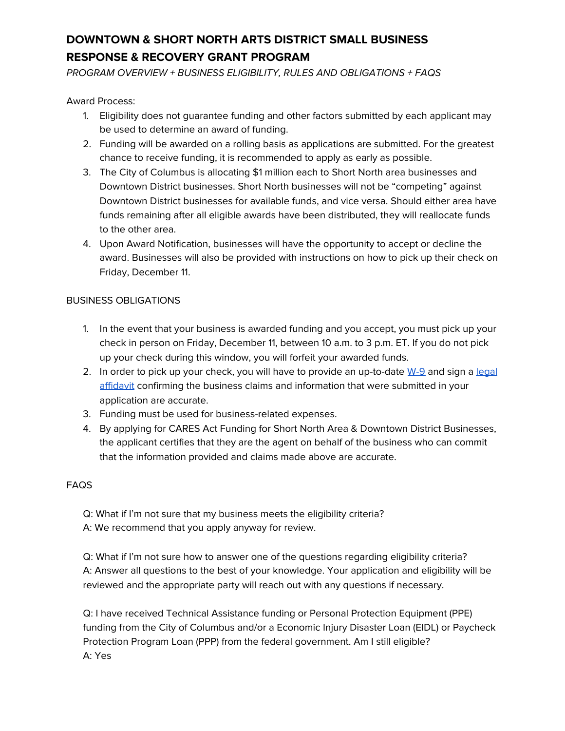# **DOWNTOWN & SHORT NORTH ARTS DISTRICT SMALL BUSINESS RESPONSE & RECOVERY GRANT PROGRAM**

PROGRAM OVERVIEW + BUSINESS ELIGIBILITY, RULES AND OBLIGATIONS + FAQS

Award Process:

- 1. Eligibility does not guarantee funding and other factors submitted by each applicant may be used to determine an award of funding.
- 2. Funding will be awarded on a rolling basis as applications are submitted. For the greatest chance to receive funding, it is recommended to apply as early as possible.
- 3. The City of Columbus is allocating \$1 million each to Short North area businesses and Downtown District businesses. Short North businesses will not be "competing" against Downtown District businesses for available funds, and vice versa. Should either area have funds remaining after all eligible awards have been distributed, they will reallocate funds to the other area.
- 4. Upon Award Notification, businesses will have the opportunity to accept or decline the award. Businesses will also be provided with instructions on how to pick up their check on Friday, December 11.

### BUSINESS OBLIGATIONS

- 1. In the event that your business is awarded funding and you accept, you must pick up your check in person on Friday, December 11, between 10 a.m. to 3 p.m. ET. If you do not pick up your check during this window, you will forfeit your awarded funds.
- 2. In order to pick up your check, you will have to provide an up-to-date  $W-9$  and sign a [legal](https://shortnorth.org/wp-content/uploads/2020/12/Downtown-Short-North-Arts-District-Small-Business-Response-Recovery-Grant-Program_Affidavit.pdf) [affidavit](https://shortnorth.org/wp-content/uploads/2020/12/Downtown-Short-North-Arts-District-Small-Business-Response-Recovery-Grant-Program_Affidavit.pdf) confirming the business claims and information that were submitted in your application are accurate.
- 3. Funding must be used for business-related expenses.
- 4. By applying for CARES Act Funding for Short North Area & Downtown District Businesses, the applicant certifies that they are the agent on behalf of the business who can commit that the information provided and claims made above are accurate.

## **FAQS**

Q: What if I'm not sure that my business meets the eligibility criteria? A: We recommend that you apply anyway for review.

Q: What if I'm not sure how to answer one of the questions regarding eligibility criteria? A: Answer all questions to the best of your knowledge. Your application and eligibility will be reviewed and the appropriate party will reach out with any questions if necessary.

Q: I have received Technical Assistance funding or Personal Protection Equipment (PPE) funding from the City of Columbus and/or a Economic Injury Disaster Loan (EIDL) or Paycheck Protection Program Loan (PPP) from the federal government. Am I still eligible? A: Yes